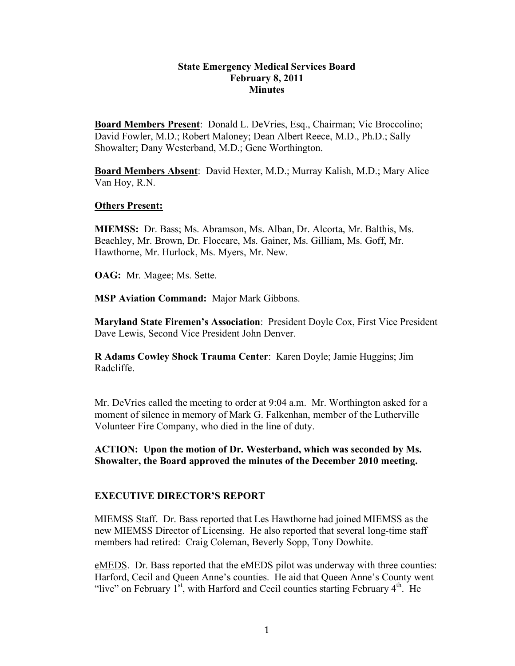#### **State Emergency Medical Services Board February 8, 2011 Minutes**

**Board Members Present**: Donald L. DeVries, Esq., Chairman; Vic Broccolino; David Fowler, M.D.; Robert Maloney; Dean Albert Reece, M.D., Ph.D.; Sally Showalter; Dany Westerband, M.D.; Gene Worthington.

**Board Members Absent**: David Hexter, M.D.; Murray Kalish, M.D.; Mary Alice Van Hoy, R.N.

#### **Others Present:**

**MIEMSS:** Dr. Bass; Ms. Abramson, Ms. Alban, Dr. Alcorta, Mr. Balthis, Ms. Beachley, Mr. Brown, Dr. Floccare, Ms. Gainer, Ms. Gilliam, Ms. Goff, Mr. Hawthorne, Mr. Hurlock, Ms. Myers, Mr. New.

**OAG:** Mr. Magee; Ms. Sette.

**MSP Aviation Command:** Major Mark Gibbons.

**Maryland State Firemen's Association**: President Doyle Cox, First Vice President Dave Lewis, Second Vice President John Denver.

**R Adams Cowley Shock Trauma Center**: Karen Doyle; Jamie Huggins; Jim Radcliffe.

Mr. DeVries called the meeting to order at 9:04 a.m. Mr. Worthington asked for a moment of silence in memory of Mark G. Falkenhan, member of the Lutherville Volunteer Fire Company, who died in the line of duty.

**ACTION: Upon the motion of Dr. Westerband, which was seconded by Ms. Showalter, the Board approved the minutes of the December 2010 meeting.**

#### **EXECUTIVE DIRECTOR'S REPORT**

MIEMSS Staff. Dr. Bass reported that Les Hawthorne had joined MIEMSS as the new MIEMSS Director of Licensing. He also reported that several long-time staff members had retired: Craig Coleman, Beverly Sopp, Tony Dowhite.

eMEDS. Dr. Bass reported that the eMEDS pilot was underway with three counties: Harford, Cecil and Queen Anne's counties. He aid that Queen Anne's County went "live" on February  $1^{st}$ , with Harford and Cecil counties starting February  $4^{th}$ . He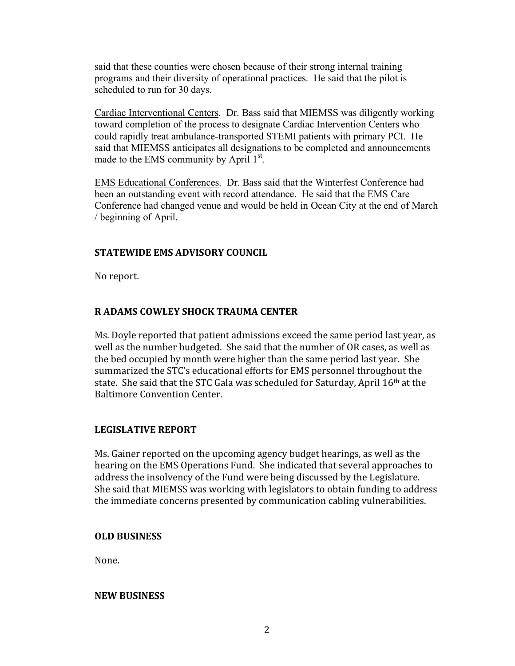said that these counties were chosen because of their strong internal training programs and their diversity of operational practices. He said that the pilot is scheduled to run for 30 days.

Cardiac Interventional Centers. Dr. Bass said that MIEMSS was diligently working toward completion of the process to designate Cardiac Intervention Centers who could rapidly treat ambulance-transported STEMI patients with primary PCI. He said that MIEMSS anticipates all designations to be completed and announcements made to the EMS community by April 1<sup>st</sup>.

EMS Educational Conferences. Dr. Bass said that the Winterfest Conference had been an outstanding event with record attendance. He said that the EMS Care Conference had changed venue and would be held in Ocean City at the end of March / beginning of April.

## **STATEWIDE
EMS
ADVISORY
COUNCIL**

No
report.

# **R
ADAMS
COWLEY
SHOCK
TRAUMA
CENTER**

Ms.
Doyle
reported
that
patient
admissions
exceed
the
same
period
last
year,
as well as the number budgeted. She said that the number of OR cases, as well as the
bed
occupied
by
month were
higher
than
the
same
period
last
year.

She summarized
the
STC's
educational
efforts
for
EMS
personnel
throughout
the state. She said that the STC Gala was scheduled for Saturday, April 16<sup>th</sup> at the Baltimore
Convention
Center.

## **LEGISLATIVE
REPORT**

Ms.
Gainer
reported on
the
upcoming
agency
budget
hearings,
as
well
as
the hearing
on
the
EMS
Operations
Fund.

She indicated
that
several
approaches
to address
the
insolvency
of
the
Fund
were
being
discussed
by
the
Legislature. She
said
that
MIEMSS
was
working
with legislators
to
obtain
funding
to
address the
immediate
concerns
presented
by
communication
cabling
vulnerabilities.

#### **OLD
BUSINESS**

None.

#### **NEW
BUSINESS**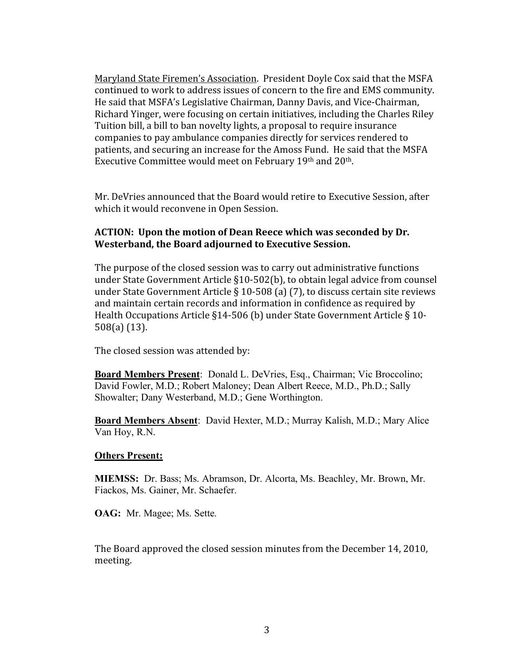Maryland
State
Firemen's
Association.

President
Doyle
Cox
said
that
the
MSFA continued
to
work
to
address
issues
of concern
to
the
fire
and
EMS
community. He
said
that
MSFA's
Legislative
Chairman,
Danny
Davis,
and
Vice‐Chairman, Richard
Yinger, were
focusing
on
certain
initiatives,
including
the
Charles
Riley Tuition bill, a bill to ban novelty lights, a proposal to require insurance companies
to
pay
ambulance
companies
directly
for
services
rendered
to patients,
and
securing
an
increase
for
the
Amoss
Fund.

He
said
that
the
MSFA Executive Committee would meet on February 19th and 20th.

Mr.
DeVries announced
that
the Board
would retire
to
Executive
Session,
after which
it would reconvene
in
Open
Session.

### **ACTION:

Upon
the
motion
of Dean
Reece
which
was
seconded
by Dr. Westerband, the
Board adjourned
to
Executive
Session.**

The
purpose
of
the
closed
session
was
to
carry
out
administrative
functions under State Government Article §10-502(b), to obtain legal advice from counsel under State Government Article § 10-508 (a) (7), to discuss certain site reviews and
maintain
certain
records
and
information
in
confidence
as
required
by Health Occupations Article §14-506 (b) under State Government Article § 10-508(a)
(13).

The
closed
session
was attended
by:

**Board Members Present**: Donald L. DeVries, Esq., Chairman; Vic Broccolino; David Fowler, M.D.; Robert Maloney; Dean Albert Reece, M.D., Ph.D.; Sally Showalter; Dany Westerband, M.D.; Gene Worthington.

**Board Members Absent**: David Hexter, M.D.; Murray Kalish, M.D.; Mary Alice Van Hoy, R.N.

#### **Others Present:**

**MIEMSS:** Dr. Bass; Ms. Abramson, Dr. Alcorta, Ms. Beachley, Mr. Brown, Mr. Fiackos, Ms. Gainer, Mr. Schaefer.

**OAG:** Mr. Magee; Ms. Sette.

The
Board
approved
the
closed
session
minutes from
the
December
14,
2010, meeting.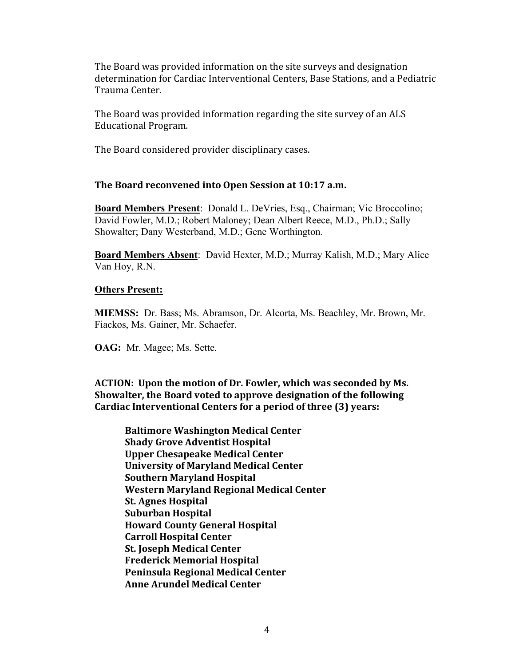The
Board was
provided
information on
the
site
surveys
and
designation determination
for
Cardiac
Interventional
Centers,
Base
Stations, and
a
Pediatric Trauma
Center.

The
Board was
provided
information
regarding the
site
survey
of
an
ALS Educational
Program.

The
Board
considered
provider
disciplinary
cases.

## **The
Board
reconvened
into
Open
Session
at 10:17
a.m.**

**Board Members Present**: Donald L. DeVries, Esq., Chairman; Vic Broccolino; David Fowler, M.D.; Robert Maloney; Dean Albert Reece, M.D., Ph.D.; Sally Showalter; Dany Westerband, M.D.; Gene Worthington.

**Board Members Absent**: David Hexter, M.D.; Murray Kalish, M.D.; Mary Alice Van Hoy, R.N.

#### **Others Present:**

**MIEMSS:** Dr. Bass; Ms. Abramson, Dr. Alcorta, Ms. Beachley, Mr. Brown, Mr. Fiackos, Ms. Gainer, Mr. Schaefer.

**OAG:** Mr. Magee; Ms. Sette.

**ACTION:

Upon
the
motion
of Dr.
Fowler,
which
was
seconded
by
Ms. Showalter,
the
Board voted
to approve
designation
of the
following Cardiac
Interventional
Centers
for
a
period of
three
(3)
years:**

**Baltimore
Washington
Medical
Center Shady
Grove Adventist
Hospital Upper
Chesapeake
Medical
Center University
of
Maryland
Medical
Center Southern
Maryland
Hospital Western
Maryland
Regional
Medical
Center St.
Agnes
Hospital Suburban
Hospital Howard
County
General
Hospital Carroll
Hospital
Center St.
Joseph
Medical
Center Frederick
Memorial
Hospital Peninsula
Regional
Medical
Center Anne
Arundel
Medical
Center**